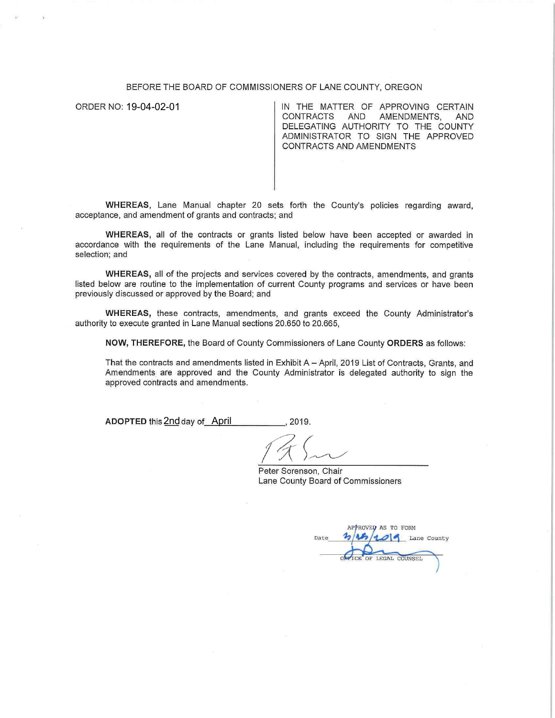## BEFORE THE BOARD OF COMMISSIONERS OF LANE COUNTY, OREGON

ORDER NO: 19-04-02-01

IN THE MATTER OF APPROVING CERTAIN CONTRACTS AND AMENDMENTS, AND DELEGATING AUTHORITY TO THE COUNTY ADMINISTRATOR TO SIGN THE APPROVED CONTRACTS AND AMENDMENTS

**WHEREAS,** Lane Manual chapter 20 sets forth the County's policies regarding award, acceptance, and amendment of grants and contracts; and

**WHEREAS,** all of the contracts or grants listed below have been accepted or awarded in accordance with the requirements of the Lane Manual, including the requirements for competitive selection; and

WHEREAS, all of the projects and services covered by the contracts, amendments, and grants listed below are routine to the implementation of current County programs and services or have been previously discussed or approved by the Board; and

**WHEREAS,** these contracts, amendments, and grants exceed the County Administrator's authority to execute granted in Lane Manual sections 20.650 to 20.665,

**NOW, THEREFORE,** the Board of County Commissioners of Lane County **ORDERS** as follows:

That the contracts and amendments listed in Exhibit A - April, 2019 List of Contracts, Grants, and Amendments are approved and the County Administrator is delegated authority to sign the approved contracts and amendments.

**ADOPTED** this 2nd day of \_\_\_\_\_\_\_\_\_\_\_\_\_\_\_\_\_\_\_, 2019.

Peter Sorenson, Chair Lane County Board of Commissioners

APPROVED AS TO FORM 014 Lane County Date OFFICE OF LEGAL COUNSEL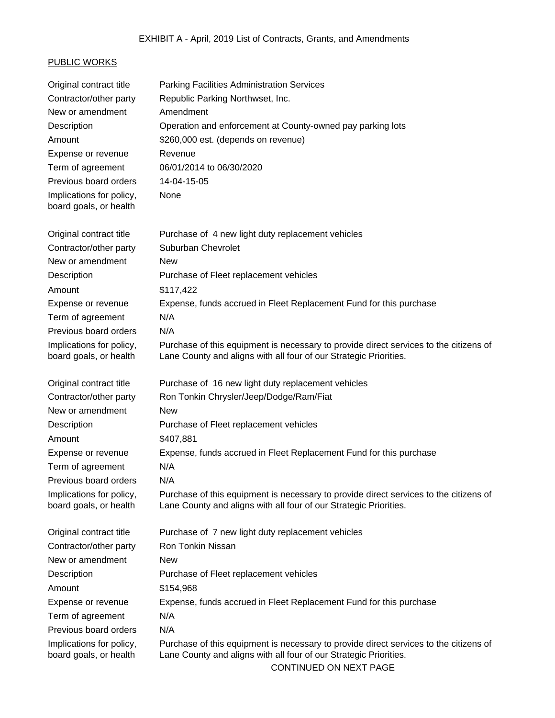## PUBLIC WORKS

| Original contract title                            | <b>Parking Facilities Administration Services</b>                                                                                                                                    |  |
|----------------------------------------------------|--------------------------------------------------------------------------------------------------------------------------------------------------------------------------------------|--|
| Contractor/other party                             | Republic Parking Northwset, Inc.                                                                                                                                                     |  |
| New or amendment                                   | Amendment                                                                                                                                                                            |  |
| Description                                        | Operation and enforcement at County-owned pay parking lots                                                                                                                           |  |
| Amount                                             | \$260,000 est. (depends on revenue)                                                                                                                                                  |  |
| Expense or revenue                                 | Revenue                                                                                                                                                                              |  |
| Term of agreement                                  | 06/01/2014 to 06/30/2020                                                                                                                                                             |  |
| Previous board orders                              | 14-04-15-05                                                                                                                                                                          |  |
| Implications for policy,<br>board goals, or health | None                                                                                                                                                                                 |  |
| Original contract title                            | Purchase of 4 new light duty replacement vehicles                                                                                                                                    |  |
| Contractor/other party                             | Suburban Chevrolet                                                                                                                                                                   |  |
| New or amendment                                   | <b>New</b>                                                                                                                                                                           |  |
| Description                                        | Purchase of Fleet replacement vehicles                                                                                                                                               |  |
| Amount                                             | \$117,422                                                                                                                                                                            |  |
| Expense or revenue                                 | Expense, funds accrued in Fleet Replacement Fund for this purchase                                                                                                                   |  |
| Term of agreement                                  | N/A                                                                                                                                                                                  |  |
| Previous board orders                              | N/A                                                                                                                                                                                  |  |
| Implications for policy,<br>board goals, or health | Purchase of this equipment is necessary to provide direct services to the citizens of<br>Lane County and aligns with all four of our Strategic Priorities.                           |  |
| Original contract title                            | Purchase of 16 new light duty replacement vehicles                                                                                                                                   |  |
| Contractor/other party                             | Ron Tonkin Chrysler/Jeep/Dodge/Ram/Fiat                                                                                                                                              |  |
| New or amendment                                   | <b>New</b>                                                                                                                                                                           |  |
| Description                                        | Purchase of Fleet replacement vehicles                                                                                                                                               |  |
| Amount                                             | \$407,881                                                                                                                                                                            |  |
| Expense or revenue                                 | Expense, funds accrued in Fleet Replacement Fund for this purchase                                                                                                                   |  |
| Term of agreement                                  | N/A                                                                                                                                                                                  |  |
| Previous board orders                              | N/A                                                                                                                                                                                  |  |
| Implications for policy,<br>board goals, or health | Purchase of this equipment is necessary to provide direct services to the citizens of<br>Lane County and aligns with all four of our Strategic Priorities.                           |  |
| Original contract title                            | Purchase of 7 new light duty replacement vehicles                                                                                                                                    |  |
| Contractor/other party                             | Ron Tonkin Nissan                                                                                                                                                                    |  |
| New or amendment                                   | <b>New</b>                                                                                                                                                                           |  |
| Description                                        | Purchase of Fleet replacement vehicles                                                                                                                                               |  |
| Amount                                             | \$154,968                                                                                                                                                                            |  |
| Expense or revenue                                 | Expense, funds accrued in Fleet Replacement Fund for this purchase                                                                                                                   |  |
| Term of agreement                                  | N/A                                                                                                                                                                                  |  |
| Previous board orders                              | N/A                                                                                                                                                                                  |  |
| Implications for policy,<br>board goals, or health | Purchase of this equipment is necessary to provide direct services to the citizens of<br>Lane County and aligns with all four of our Strategic Priorities.<br>CONTINUED ON NEXT PAGE |  |